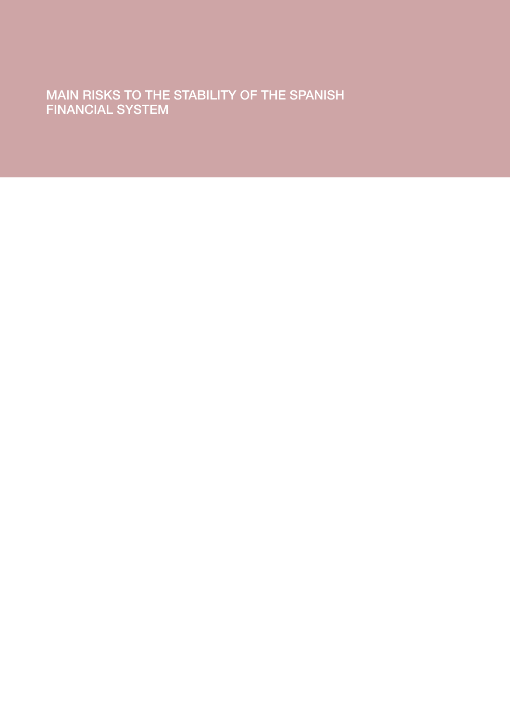MAIN RISKS TO THE STABILITY OF THE SPANISH FINANCIAL SYSTEM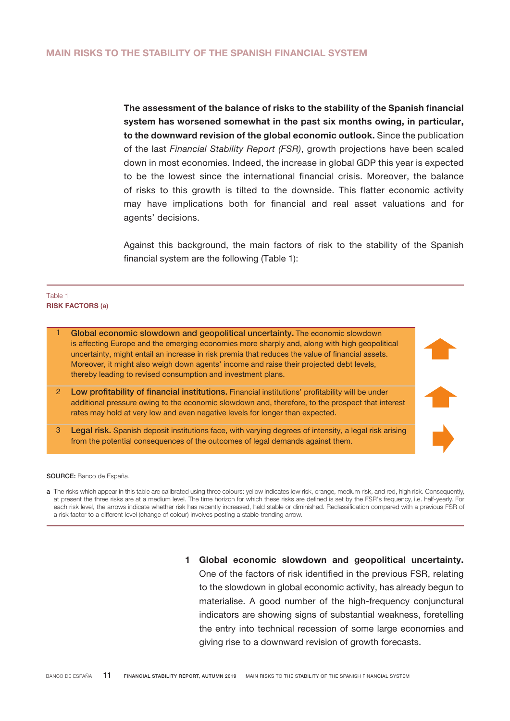The assessment of the balance of risks to the stability of the Spanish financial system has worsened somewhat in the past six months owing, in particular, to the downward revision of the global economic outlook. Since the publication of the last *Financial Stability Report (FSR)*, growth projections have been scaled down in most economies. Indeed, the increase in global GDP this year is expected to be the lowest since the international financial crisis. Moreover, the balance of risks to this growth is tilted to the downside. This flatter economic activity may have implications both for financial and real asset valuations and for agents' decisions.

Against this background, the main factors of risk to the stability of the Spanish financial system are the following (Table 1):

## RISK FACTORS (a) Table 1



SOURCE: Banco de España.

a The risks which appear in this table are calibrated using three colours: yellow indicates low risk, orange, medium risk, and red, high risk. Consequently, at present the three risks are at a medium level. The time horizon for which these risks are defined is set by the FSR's frequency, i.e. half-yearly. For each risk level, the arrows indicate whether risk has recently increased, held stable or diminished. Reclassification compared with a previous FSR of a risk factor to a different level (change of colour) involves posting a stable-trending arrow.

> 1 Global economic slowdown and geopolitical uncertainty. One of the factors of risk identified in the previous FSR, relating to the slowdown in global economic activity, has already begun to materialise. A good number of the high-frequency conjunctural indicators are showing signs of substantial weakness, foretelling the entry into technical recession of some large economies and giving rise to a downward revision of growth forecasts.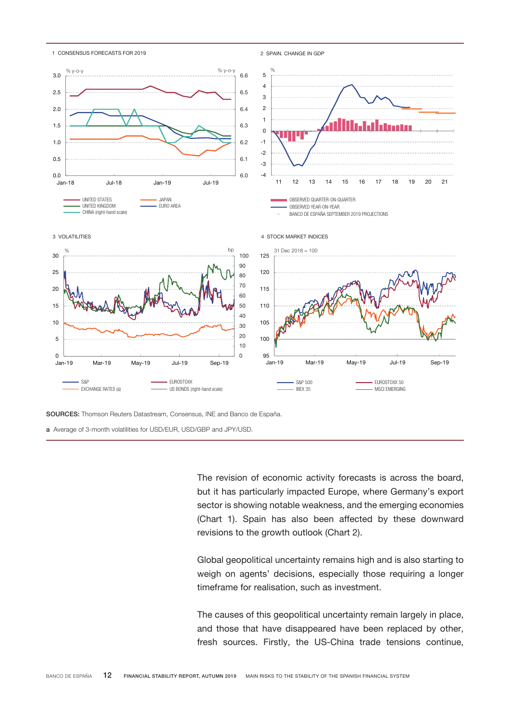

SOURCES: Thomson Reuters Datastream, Consensus, INE and Banco de España.

a Average of 3-month volatilities for USD/EUR, USD/GBP and JPY/USD.

The revision of economic activity forecasts is across the board, but it has particularly impacted Europe, where Germany's export sector is showing notable weakness, and the emerging economies (Chart 1). Spain has also been affected by these downward revisions to the growth outlook (Chart 2).

Global geopolitical uncertainty remains high and is also starting to weigh on agents' decisions, especially those requiring a longer timeframe for realisation, such as investment.

The causes of this geopolitical uncertainty remain largely in place, and those that have disappeared have been replaced by other, fresh sources. Firstly, the US-China trade tensions continue,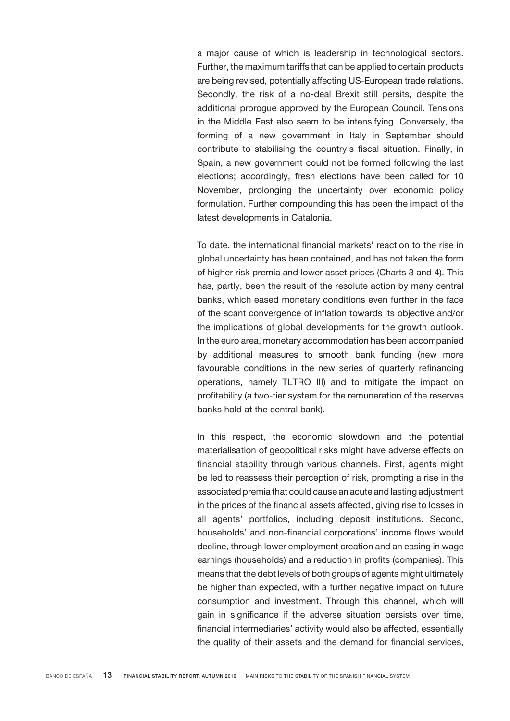a major cause of which is leadership in technological sectors. Further, the maximum tariffs that can be applied to certain products are being revised, potentially affecting US-European trade relations. Secondly, the risk of a no-deal Brexit still persits, despite the additional prorogue approved by the European Council. Tensions in the Middle East also seem to be intensifying. Conversely, the forming of a new government in Italy in September should contribute to stabilising the country's fiscal situation. Finally, in Spain, a new government could not be formed following the last elections; accordingly, fresh elections have been called for 10 November, prolonging the uncertainty over economic policy formulation. Further compounding this has been the impact of the latest developments in Catalonia.

To date, the international financial markets' reaction to the rise in global uncertainty has been contained, and has not taken the form of higher risk premia and lower asset prices (Charts 3 and 4). This has, partly, been the result of the resolute action by many central banks, which eased monetary conditions even further in the face of the scant convergence of inflation towards its objective and/or the implications of global developments for the growth outlook. In the euro area, monetary accommodation has been accompanied by additional measures to smooth bank funding (new more favourable conditions in the new series of quarterly refinancing operations, namely TLTRO III) and to mitigate the impact on profitability (a two-tier system for the remuneration of the reserves banks hold at the central bank).

In this respect, the economic slowdown and the potential materialisation of geopolitical risks might have adverse effects on financial stability through various channels. First, agents might be led to reassess their perception of risk, prompting a rise in the associated premia that could cause an acute and lasting adjustment in the prices of the financial assets affected, giving rise to losses in all agents' portfolios, including deposit institutions. Second, households' and non-financial corporations' income flows would decline, through lower employment creation and an easing in wage earnings (households) and a reduction in profits (companies). This means that the debt levels of both groups of agents might ultimately be higher than expected, with a further negative impact on future consumption and investment. Through this channel, which will gain in significance if the adverse situation persists over time, financial intermediaries' activity would also be affected, essentially the quality of their assets and the demand for financial services,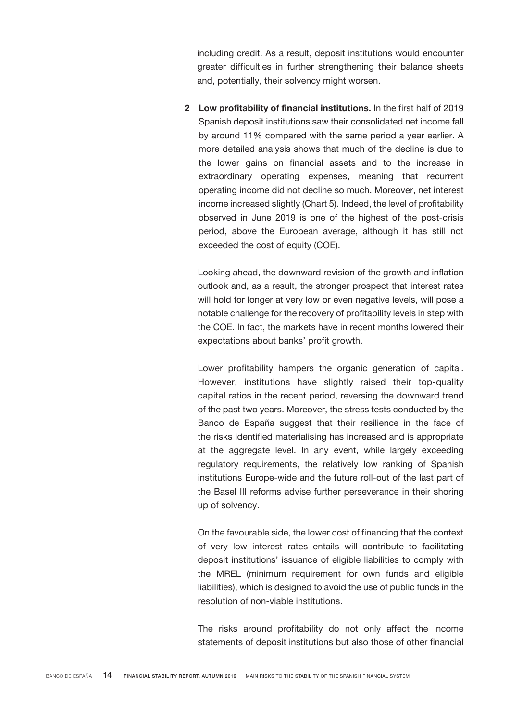including credit. As a result, deposit institutions would encounter greater difficulties in further strengthening their balance sheets and, potentially, their solvency might worsen.

2 Low profitability of financial institutions. In the first half of 2019 Spanish deposit institutions saw their consolidated net income fall by around 11% compared with the same period a year earlier. A more detailed analysis shows that much of the decline is due to the lower gains on financial assets and to the increase in extraordinary operating expenses, meaning that recurrent operating income did not decline so much. Moreover, net interest income increased slightly (Chart 5). Indeed, the level of profitability observed in June 2019 is one of the highest of the post-crisis period, above the European average, although it has still not exceeded the cost of equity (COE).

Looking ahead, the downward revision of the growth and inflation outlook and, as a result, the stronger prospect that interest rates will hold for longer at very low or even negative levels, will pose a notable challenge for the recovery of profitability levels in step with the COE. In fact, the markets have in recent months lowered their expectations about banks' profit growth.

Lower profitability hampers the organic generation of capital. However, institutions have slightly raised their top-quality capital ratios in the recent period, reversing the downward trend of the past two years. Moreover, the stress tests conducted by the Banco de España suggest that their resilience in the face of the risks identified materialising has increased and is appropriate at the aggregate level. In any event, while largely exceeding regulatory requirements, the relatively low ranking of Spanish institutions Europe-wide and the future roll-out of the last part of the Basel III reforms advise further perseverance in their shoring up of solvency.

On the favourable side, the lower cost of financing that the context of very low interest rates entails will contribute to facilitating deposit institutions' issuance of eligible liabilities to comply with the MREL (minimum requirement for own funds and eligible liabilities), which is designed to avoid the use of public funds in the resolution of non-viable institutions.

The risks around profitability do not only affect the income statements of deposit institutions but also those of other financial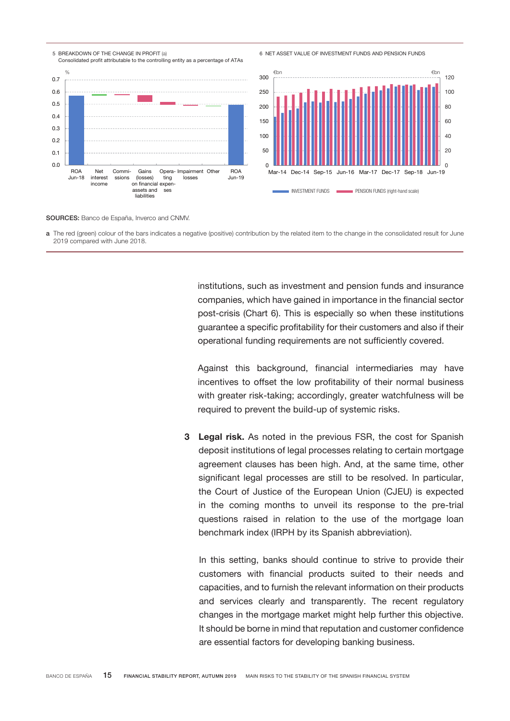



## SOURCES: Banco de España, Inverco and CNMV.

a The red (green) colour of the bars indicates a negative (positive) contribution by the related item to the change in the consolidated result for June 2019 compared with June 2018.

> institutions, such as investment and pension funds and insurance companies, which have gained in importance in the financial sector post-crisis (Chart 6). This is especially so when these institutions guarantee a specific profitability for their customers and also if their operational funding requirements are not sufficiently covered.

> Against this background, financial intermediaries may have incentives to offset the low profitability of their normal business with greater risk-taking; accordingly, greater watchfulness will be required to prevent the build-up of systemic risks.

3 Legal risk. As noted in the previous FSR, the cost for Spanish deposit institutions of legal processes relating to certain mortgage agreement clauses has been high. And, at the same time, other significant legal processes are still to be resolved. In particular, the Court of Justice of the European Union (CJEU) is expected in the coming months to unveil its response to the pre-trial questions raised in relation to the use of the mortgage loan benchmark index (IRPH by its Spanish abbreviation).

In this setting, banks should continue to strive to provide their customers with financial products suited to their needs and capacities, and to furnish the relevant information on their products and services clearly and transparently. The recent regulatory changes in the mortgage market might help further this objective. It should be borne in mind that reputation and customer confidence are essential factors for developing banking business.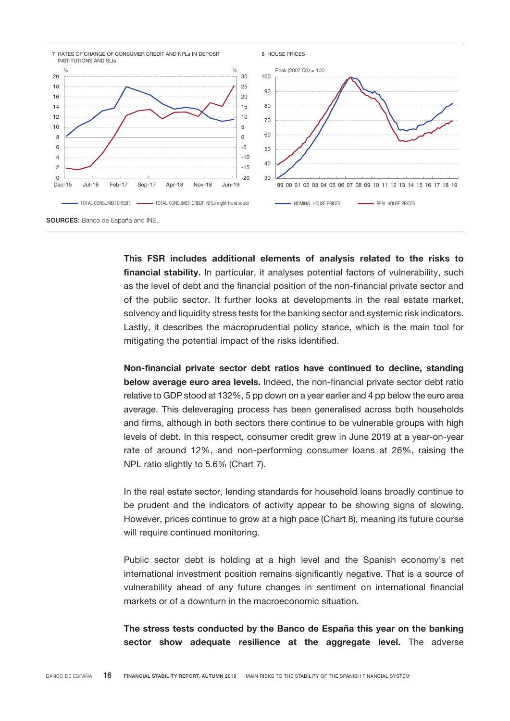

This FSR includes additional elements of analysis related to the risks to financial stability. In particular, it analyses potential factors of vulnerability, such as the level of debt and the financial position of the non-financial private sector and of the public sector. It further looks at developments in the real estate market, solvency and liquidity stress tests for the banking sector and systemic risk indicators. Lastly, it describes the macroprudential policy stance, which is the main tool for mitigating the potential impact of the risks identified.

Non-financial private sector debt ratios have continued to decline, standing below average euro area levels. Indeed, the non-financial private sector debt ratio relative to GDP stood at 132%, 5 pp down on a year earlier and 4 pp below the euro area average. This deleveraging process has been generalised across both households and firms, although in both sectors there continue to be vulnerable groups with high levels of debt. In this respect, consumer credit grew in June 2019 at a year-on-year rate of around 12%, and non-performing consumer loans at 26%, raising the NPL ratio slightly to 5.6% (Chart 7).

In the real estate sector, lending standards for household loans broadly continue to be prudent and the indicators of activity appear to be showing signs of slowing. However, prices continue to grow at a high pace (Chart 8), meaning its future course will require continued monitoring.

Public sector debt is holding at a high level and the Spanish economy's net international investment position remains significantly negative. That is a source of vulnerability ahead of any future changes in sentiment on international financial markets or of a downturn in the macroeconomic situation.

The stress tests conducted by the Banco de España this year on the banking sector show adequate resilience at the aggregate level. The adverse